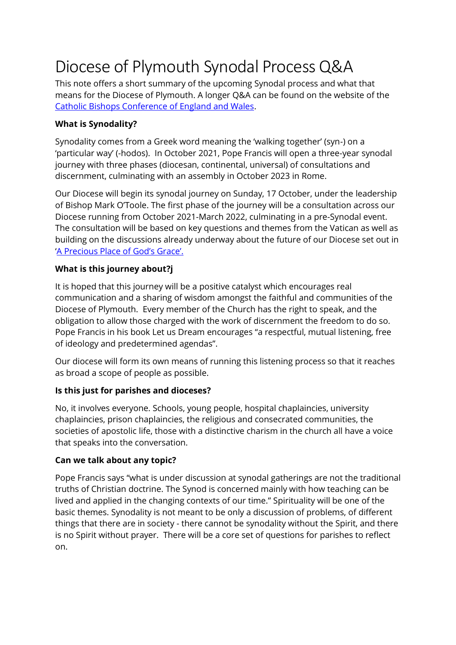# Diocese of Plymouth Synodal Process Q&A

This note offers a short summary of the upcoming Synodal process and what that means for the Diocese of Plymouth. A longer Q&A can be found on the website of the [Catholic Bishops Conference of England and Wales.](https://www.cbcew.org.uk/bishops-conference-synodal-process-q-and-a/)

## **What is Synodality?**

Synodality comes from a Greek word meaning the 'walking together' (syn-) on a 'particular way' (-hodos). In October 2021, Pope Francis will open a three-year synodal journey with three phases (diocesan, continental, universal) of consultations and discernment, culminating with an assembly in October 2023 in Rome.

Our Diocese will begin its synodal journey on Sunday, 17 October, under the leadership of Bishop Mark O'Toole. The first phase of the journey will be a consultation across our Diocese running from October 2021-March 2022, culminating in a pre-Synodal event. The consultation will be based on key questions and themes from the Vatican as well as building on the discussions already underway about the future of our Diocese set out in ['A Precious Place of God's Grace'](https://www.cbcew.org.uk/plymouth-diocese-renewal-parish-life-and-structures/).

### **What is this journey about?j**

It is hoped that this journey will be a positive catalyst which encourages real communication and a sharing of wisdom amongst the faithful and communities of the Diocese of Plymouth. Every member of the Church has the right to speak, and the obligation to allow those charged with the work of discernment the freedom to do so. Pope Francis in his book Let us Dream encourages "a respectful, mutual listening, free of ideology and predetermined agendas".

Our diocese will form its own means of running this listening process so that it reaches as broad a scope of people as possible.

### **Is this just for parishes and dioceses?**

No, it involves everyone. Schools, young people, hospital chaplaincies, university chaplaincies, prison chaplaincies, the religious and consecrated communities, the societies of apostolic life, those with a distinctive charism in the church all have a voice that speaks into the conversation.

### **Can we talk about any topic?**

Pope Francis says "what is under discussion at synodal gatherings are not the traditional truths of Christian doctrine. The Synod is concerned mainly with how teaching can be lived and applied in the changing contexts of our time." Spirituality will be one of the basic themes. Synodality is not meant to be only a discussion of problems, of different things that there are in society - there cannot be synodality without the Spirit, and there is no Spirit without prayer. There will be a core set of questions for parishes to reflect on.